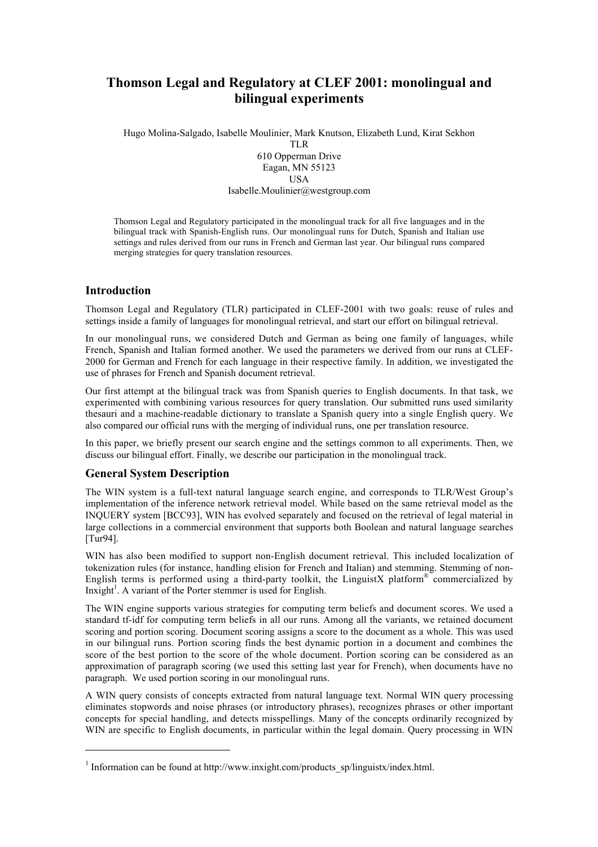# **Thomson Legal and Regulatory at CLEF 2001: monolingual and bilingual experiments**

Hugo Molina-Salgado, Isabelle Moulinier, Mark Knutson, Elizabeth Lund, Kirat Sekhon TLR 610 Opperman Drive Eagan, MN 55123 **IISA** 

Isabelle.Moulinier@westgroup.com

Thomson Legal and Regulatory participated in the monolingual track for all five languages and in the bilingual track with Spanish-English runs. Our monolingual runs for Dutch, Spanish and Italian use settings and rules derived from our runs in French and German last year. Our bilingual runs compared merging strategies for query translation resources.

## **Introduction**

l

Thomson Legal and Regulatory (TLR) participated in CLEF-2001 with two goals: reuse of rules and settings inside a family of languages for monolingual retrieval, and start our effort on bilingual retrieval.

In our monolingual runs, we considered Dutch and German as being one family of languages, while French, Spanish and Italian formed another. We used the parameters we derived from our runs at CLEF-2000 for German and French for each language in their respective family. In addition, we investigated the use of phrases for French and Spanish document retrieval.

Our first attempt at the bilingual track was from Spanish queries to English documents. In that task, we experimented with combining various resources for query translation. Our submitted runs used similarity thesauri and a machine-readable dictionary to translate a Spanish query into a single English query. We also compared our official runs with the merging of individual runs, one per translation resource.

In this paper, we briefly present our search engine and the settings common to all experiments. Then, we discuss our bilingual effort. Finally, we describe our participation in the monolingual track.

### **General System Description**

The WIN system is a full-text natural language search engine, and corresponds to TLR/West Group's implementation of the inference network retrieval model. While based on the same retrieval model as the INQUERY system [BCC93], WIN has evolved separately and focused on the retrieval of legal material in large collections in a commercial environment that supports both Boolean and natural language searches [Tur94].

WIN has also been modified to support non-English document retrieval. This included localization of tokenization rules (for instance, handling elision for French and Italian) and stemming. Stemming of non-English terms is performed using a third-party toolkit, the LinguistX platform<sup>®</sup> commercialized by Inxight<sup>1</sup>. A variant of the Porter stemmer is used for English.

The WIN engine supports various strategies for computing term beliefs and document scores. We used a standard tf-idf for computing term beliefs in all our runs. Among all the variants, we retained document scoring and portion scoring. Document scoring assigns a score to the document as a whole. This was used in our bilingual runs. Portion scoring finds the best dynamic portion in a document and combines the score of the best portion to the score of the whole document. Portion scoring can be considered as an approximation of paragraph scoring (we used this setting last year for French), when documents have no paragraph. We used portion scoring in our monolingual runs.

A WIN query consists of concepts extracted from natural language text. Normal WIN query processing eliminates stopwords and noise phrases (or introductory phrases), recognizes phrases or other important concepts for special handling, and detects misspellings. Many of the concepts ordinarily recognized by WIN are specific to English documents, in particular within the legal domain. Query processing in WIN

<sup>&</sup>lt;sup>1</sup> Information can be found at http://www.inxight.com/products\_sp/linguistx/index.html.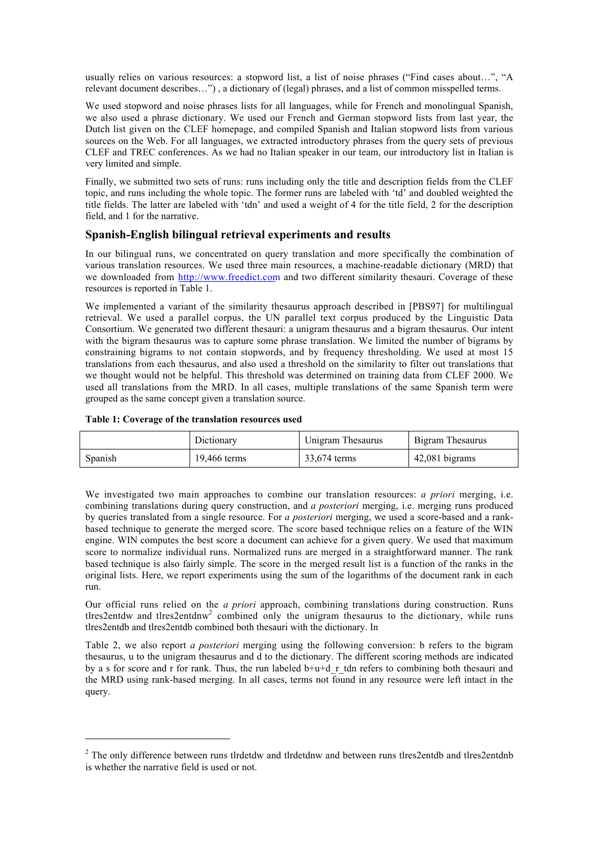usually relies on various resources: a stopword list, a list of noise phrases ("Find cases about…", "A relevant document describes…") , a dictionary of (legal) phrases, and a list of common misspelled terms.

We used stopword and noise phrases lists for all languages, while for French and monolingual Spanish, we also used a phrase dictionary. We used our French and German stopword lists from last year, the Dutch list given on the CLEF homepage, and compiled Spanish and Italian stopword lists from various sources on the Web. For all languages, we extracted introductory phrases from the query sets of previous CLEF and TREC conferences. As we had no Italian speaker in our team, our introductory list in Italian is very limited and simple.

Finally, we submitted two sets of runs: runs including only the title and description fields from the CLEF topic, and runs including the whole topic. The former runs are labeled with 'td' and doubled weighted the title fields. The latter are labeled with 'tdn' and used a weight of 4 for the title field, 2 for the description field, and 1 for the narrative.

### **Spanish-English bilingual retrieval experiments and results**

In our bilingual runs, we concentrated on query translation and more specifically the combination of various translation resources. We used three main resources, a machine-readable dictionary (MRD) that we downloaded from http://www.freedict.com and two different similarity thesauri. Coverage of these resources is reported in Table 1.

We implemented a variant of the similarity thesaurus approach described in [PBS97] for multilingual retrieval. We used a parallel corpus, the UN parallel text corpus produced by the Linguistic Data Consortium. We generated two different thesauri: a unigram thesaurus and a bigram thesaurus. Our intent with the bigram thesaurus was to capture some phrase translation. We limited the number of bigrams by constraining bigrams to not contain stopwords, and by frequency thresholding. We used at most 15 translations from each thesaurus, and also used a threshold on the similarity to filter out translations that we thought would not be helpful. This threshold was determined on training data from CLEF 2000. We used all translations from the MRD. In all cases, multiple translations of the same Spanish term were grouped as the same concept given a translation source.

#### **Table 1: Coverage of the translation resources used**

l

|         | Dictionary   | Unigram Thesaurus | Bigram Thesaurus |
|---------|--------------|-------------------|------------------|
| Spanish | 19.466 terms | 33.674 terms      | 42,081 bigrams   |

We investigated two main approaches to combine our translation resources: *a priori* merging, i.e. combining translations during query construction, and *a posteriori* merging, i.e. merging runs produced by queries translated from a single resource. For *a posteriori* merging, we used a score-based and a rankbased technique to generate the merged score. The score based technique relies on a feature of the WIN engine. WIN computes the best score a document can achieve for a given query. We used that maximum score to normalize individual runs. Normalized runs are merged in a straightforward manner. The rank based technique is also fairly simple. The score in the merged result list is a function of the ranks in the original lists. Here, we report experiments using the sum of the logarithms of the document rank in each run.

Our official runs relied on the *a priori* approach, combining translations during construction. Runs tlres2entdw and tlres2entdnw<sup>2</sup> combined only the unigram thesaurus to the dictionary, while runs tlres2entdb and tlres2entdb combined both thesauri with the dictionary. In

Table 2, we also report *a posteriori* merging using the following conversion: b refers to the bigram thesaurus, u to the unigram thesaurus and d to the dictionary. The different scoring methods are indicated by a s for score and r for rank. Thus, the run labeled  $b+u+d$  r tdn refers to combining both thesauri and the MRD using rank-based merging. In all cases, terms not found in any resource were left intact in the query.

 $2$  The only difference between runs tlrdetdw and tlrdetdnw and between runs tlres2entdb and tlres2entdnb is whether the narrative field is used or not.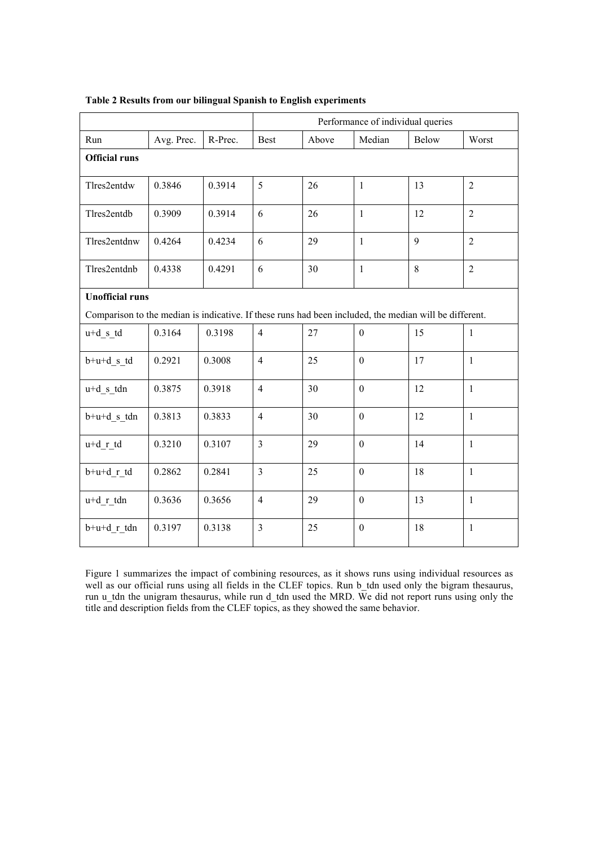|                                                                                                        |            |         | Performance of individual queries |       |                  |              |                |  |  |
|--------------------------------------------------------------------------------------------------------|------------|---------|-----------------------------------|-------|------------------|--------------|----------------|--|--|
| Run                                                                                                    | Avg. Prec. | R-Prec. | <b>Best</b>                       | Above | Median           | <b>Below</b> | Worst          |  |  |
| <b>Official runs</b>                                                                                   |            |         |                                   |       |                  |              |                |  |  |
| Tlres2entdw                                                                                            | 0.3846     | 0.3914  | 5                                 | 26    | $\mathbf{1}$     | 13           | $\overline{2}$ |  |  |
| Tlres2entdb                                                                                            | 0.3909     | 0.3914  | 6                                 | 26    | $\mathbf{1}$     | 12           | $\overline{2}$ |  |  |
| Tlres2entdnw                                                                                           | 0.4264     | 0.4234  | 6                                 | 29    | $\mathbf{1}$     | 9            | $\overline{2}$ |  |  |
| Tlres2entdnb                                                                                           | 0.4338     | 0.4291  | 6                                 | 30    | $\mathbf{1}$     | $\,8\,$      | $\overline{2}$ |  |  |
| <b>Unofficial runs</b>                                                                                 |            |         |                                   |       |                  |              |                |  |  |
| Comparison to the median is indicative. If these runs had been included, the median will be different. |            |         |                                   |       |                  |              |                |  |  |
| $u+d$ s td                                                                                             | 0.3164     | 0.3198  | $\overline{4}$                    | 27    | $\boldsymbol{0}$ | 15           | $\mathbf{1}$   |  |  |
| b+u+d s td                                                                                             | 0.2921     | 0.3008  | $\overline{4}$                    | 25    | $\boldsymbol{0}$ | 17           | $\mathbf{1}$   |  |  |
| $u+d$ s $tdn$                                                                                          | 0.3875     | 0.3918  | $\overline{4}$                    | 30    | $\boldsymbol{0}$ | 12           | $\mathbf{1}$   |  |  |
| b+u+d s tdn                                                                                            | 0.3813     | 0.3833  | $\overline{4}$                    | 30    | $\boldsymbol{0}$ | 12           | $\mathbf{1}$   |  |  |
| u+d r td                                                                                               | 0.3210     | 0.3107  | $\overline{3}$                    | 29    | $\boldsymbol{0}$ | 14           | $\mathbf{1}$   |  |  |
| b+u+d r td                                                                                             | 0.2862     | 0.2841  | $\overline{3}$                    | 25    | $\boldsymbol{0}$ | 18           | $\mathbf{1}$   |  |  |
| u+d r tdn                                                                                              | 0.3636     | 0.3656  | $\overline{4}$                    | 29    | $\boldsymbol{0}$ | 13           | $\mathbf{1}$   |  |  |
| b+u+d r tdn                                                                                            | 0.3197     | 0.3138  | $\overline{3}$                    | 25    | $\boldsymbol{0}$ | 18           | $\mathbf{1}$   |  |  |

#### **Table 2 Results from our bilingual Spanish to English experiments**

Figure 1 summarizes the impact of combining resources, as it shows runs using individual resources as well as our official runs using all fields in the CLEF topics. Run b\_tdn used only the bigram thesaurus, run u\_tdn the unigram thesaurus, while run d\_tdn used the MRD. We did not report runs using only the title and description fields from the CLEF topics, as they showed the same behavior.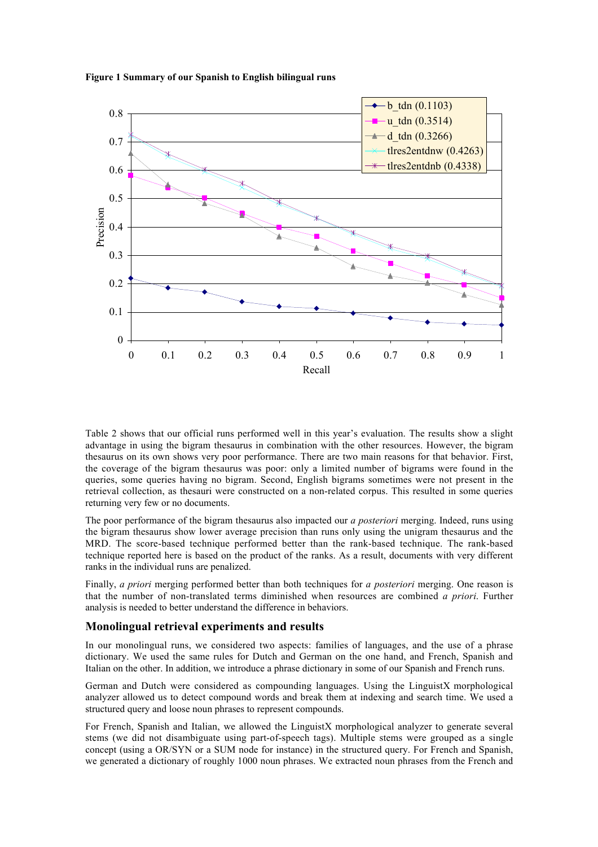



Table 2 shows that our official runs performed well in this year's evaluation. The results show a slight advantage in using the bigram thesaurus in combination with the other resources. However, the bigram thesaurus on its own shows very poor performance. There are two main reasons for that behavior. First, the coverage of the bigram thesaurus was poor: only a limited number of bigrams were found in the queries, some queries having no bigram. Second, English bigrams sometimes were not present in the retrieval collection, as thesauri were constructed on a non-related corpus. This resulted in some queries returning very few or no documents.

The poor performance of the bigram thesaurus also impacted our *a posteriori* merging. Indeed, runs using the bigram thesaurus show lower average precision than runs only using the unigram thesaurus and the MRD. The score-based technique performed better than the rank-based technique. The rank-based technique reported here is based on the product of the ranks. As a result, documents with very different ranks in the individual runs are penalized.

Finally, *a priori* merging performed better than both techniques for *a posteriori* merging. One reason is that the number of non-translated terms diminished when resources are combined *a priori*. Further analysis is needed to better understand the difference in behaviors.

#### **Monolingual retrieval experiments and results**

In our monolingual runs, we considered two aspects: families of languages, and the use of a phrase dictionary. We used the same rules for Dutch and German on the one hand, and French, Spanish and Italian on the other. In addition, we introduce a phrase dictionary in some of our Spanish and French runs.

German and Dutch were considered as compounding languages. Using the LinguistX morphological analyzer allowed us to detect compound words and break them at indexing and search time. We used a structured query and loose noun phrases to represent compounds.

For French, Spanish and Italian, we allowed the LinguistX morphological analyzer to generate several stems (we did not disambiguate using part-of-speech tags). Multiple stems were grouped as a single concept (using a OR/SYN or a SUM node for instance) in the structured query. For French and Spanish, we generated a dictionary of roughly 1000 noun phrases. We extracted noun phrases from the French and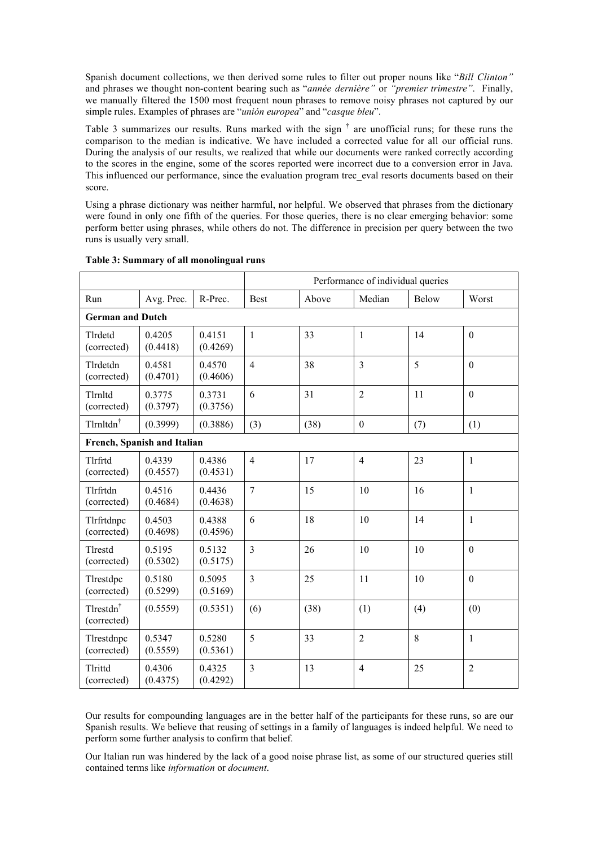Spanish document collections, we then derived some rules to filter out proper nouns like "*Bill Clinton"* and phrases we thought non-content bearing such as "*année dernière"* or *"premier trimestre"*. Finally, we manually filtered the 1500 most frequent noun phrases to remove noisy phrases not captured by our simple rules. Examples of phrases are "*unión europea*" and "*casque bleu*".

Table 3 summarizes our results. Runs marked with the sign  $<sup>†</sup>$  are unofficial runs; for these runs the</sup> comparison to the median is indicative. We have included a corrected value for all our official runs. During the analysis of our results, we realized that while our documents were ranked correctly according to the scores in the engine, some of the scores reported were incorrect due to a conversion error in Java. This influenced our performance, since the evaluation program trec\_eval resorts documents based on their score.

Using a phrase dictionary was neither harmful, nor helpful. We observed that phrases from the dictionary were found in only one fifth of the queries. For those queries, there is no clear emerging behavior: some perform better using phrases, while others do not. The difference in precision per query between the two runs is usually very small.

|                                      |                    |                    | Performance of individual queries |       |                |       |                |  |
|--------------------------------------|--------------------|--------------------|-----------------------------------|-------|----------------|-------|----------------|--|
| Run                                  | Avg. Prec.         | R-Prec.            | <b>Best</b>                       | Above | Median         | Below | Worst          |  |
| <b>German and Dutch</b>              |                    |                    |                                   |       |                |       |                |  |
| Tlrdetd<br>(corrected)               | 0.4205<br>(0.4418) | 0.4151<br>(0.4269) | $\mathbf{1}$                      | 33    | $\mathbf{1}$   | 14    | $\overline{0}$ |  |
| Tlrdetdn<br>(corrected)              | 0.4581<br>(0.4701) | 0.4570<br>(0.4606) | $\overline{4}$                    | 38    | $\overline{3}$ | 5     | $\mathbf{0}$   |  |
| Tlrnltd<br>(corrected)               | 0.3775<br>(0.3797) | 0.3731<br>(0.3756) | 6                                 | 31    | $\overline{2}$ | 11    | $\mathbf{0}$   |  |
| Tlrnltdn <sup>†</sup>                | (0.3999)           | (0.3886)           | (3)                               | (38)  | $\mathbf{0}$   | (7)   | (1)            |  |
| French, Spanish and Italian          |                    |                    |                                   |       |                |       |                |  |
| Tlrfrtd<br>(corrected)               | 0.4339<br>(0.4557) | 0.4386<br>(0.4531) | $\overline{4}$                    | 17    | $\overline{4}$ | 23    | 1              |  |
| Tlrfrtdn<br>(corrected)              | 0.4516<br>(0.4684) | 0.4436<br>(0.4638) | $\overline{7}$                    | 15    | 10             | 16    | $\mathbf{1}$   |  |
| Tlrfrtdnpc<br>(corrected)            | 0.4503<br>(0.4698) | 0.4388<br>(0.4596) | 6                                 | 18    | 10             | 14    | $\mathbf{1}$   |  |
| Tlrestd<br>(corrected)               | 0.5195<br>(0.5302) | 0.5132<br>(0.5175) | 3                                 | 26    | 10             | 10    | $\theta$       |  |
| Tlrestdpc<br>(corrected)             | 0.5180<br>(0.5299) | 0.5095<br>(0.5169) | $\overline{3}$                    | 25    | 11             | 10    | $\mathbf{0}$   |  |
| Tlrestdn <sup>†</sup><br>(corrected) | (0.5559)           | (0.5351)           | (6)                               | (38)  | (1)            | (4)   | (0)            |  |
| Tlrestdnpc<br>(corrected)            | 0.5347<br>(0.5559) | 0.5280<br>(0.5361) | 5                                 | 33    | $\overline{2}$ | 8     | $\mathbf{1}$   |  |
| Tlrittd<br>(corrected)               | 0.4306<br>(0.4375) | 0.4325<br>(0.4292) | $\overline{3}$                    | 13    | $\overline{4}$ | 25    | $\overline{2}$ |  |

#### **Table 3: Summary of all monolingual runs**

Our results for compounding languages are in the better half of the participants for these runs, so are our Spanish results. We believe that reusing of settings in a family of languages is indeed helpful. We need to perform some further analysis to confirm that belief.

Our Italian run was hindered by the lack of a good noise phrase list, as some of our structured queries still contained terms like *information* or *document*.